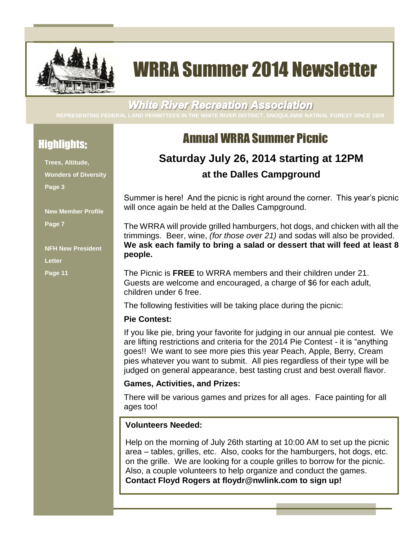

# WRRA Summer 2014 Newsletter

#### **White River Recreation Association**

# Highlights:

**Trees, Altitude, Wonders of Diversity Page 3**

**New Member Profile**

**Page 7**

**NFH New President** 

**Letter**

**Page 11**

# Annual WRRA Summer Picnic

# **Saturday July 26, 2014 starting at 12PM at the Dalles Campground**

Summer is here! And the picnic is right around the corner. This year's picnic will once again be held at the Dalles Campground.

The WRRA will provide grilled hamburgers, hot dogs, and chicken with all the trimmings. Beer, wine, *(for those over 21)* and sodas will also be provided. **We ask each family to bring a salad or dessert that will feed at least 8 people.**

The Picnic is **FREE** to WRRA members and their children under 21. Guests are welcome and encouraged, a charge of \$6 for each adult, children under 6 free.

The following festivities will be taking place during the picnic:

#### **Pie Contest:**

If you like pie, bring your favorite for judging in our annual pie contest. We are lifting restrictions and criteria for the 2014 Pie Contest - it is "anything goes!! We want to see more pies this year Peach, Apple, Berry, Cream pies whatever you want to submit. All pies regardless of their type will be judged on general appearance, best tasting crust and best overall flavor.

#### **Games, Activities, and Prizes:**

There will be various games and prizes for all ages. Face painting for all ages too!

#### **Volunteers Needed:**

Help on the morning of July 26th starting at 10:00 AM to set up the picnic area – tables, grilles, etc. Also, cooks for the hamburgers, hot dogs, etc. on the grille. We are looking for a couple grilles to borrow for the picnic. Also, a couple volunteers to help organize and conduct the games. **Contact Floyd Rogers at floydr@nwlink.com to sign up!**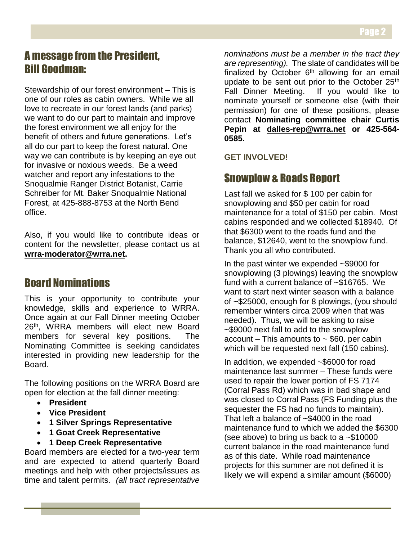# A message from the President, Bill Goodman:

Stewardship of our forest environment – This is one of our roles as cabin owners. While we all love to recreate in our forest lands (and parks) we want to do our part to maintain and improve the forest environment we all enjoy for the benefit of others and future generations. Let's all do our part to keep the forest natural. One way we can contribute is by keeping an eye out for invasive or noxious weeds. Be a weed watcher and report any infestations to the Snoqualmie Ranger District Botanist, Carrie Schreiber for Mt. Baker Snoqualmie National Forest, at 425-888-8753 at the North Bend office.

Also, if you would like to contribute ideas or content for the newsletter, please contact us at **[wrra-moderator@wrra.net.](mailto:wrra-moderator@wrra.net)**

# Board Nominations

This is your opportunity to contribute your knowledge, skills and experience to WRRA. Once again at our Fall Dinner meeting October 26<sup>th</sup>, WRRA members will elect new Board members for several key positions. The Nominating Committee is seeking candidates interested in providing new leadership for the Board.

The following positions on the WRRA Board are open for election at the fall dinner meeting:

- **President**
- **Vice President**
- **1 Silver Springs Representative**
- **1 Goat Creek Representative**
- **1 Deep Creek Representative**

Board members are elected for a two-year term and are expected to attend quarterly Board meetings and help with other projects/issues as time and talent permits. *(all tract representative*  *nominations must be a member in the tract they are representing).* The slate of candidates will be finalized by October  $6<sup>th</sup>$  allowing for an email update to be sent out prior to the October 25<sup>th</sup> Fall Dinner Meeting. If you would like to nominate yourself or someone else (with their permission) for one of these positions, please contact **Nominating committee chair Curtis Pepin at [dalles-rep@wrra.net](mailto:dalles-rep@wrra.net) or 425-564- 0585.**

#### **GET INVOLVED!**

# Snowplow & Roads Report

Last fall we asked for \$ 100 per cabin for snowplowing and \$50 per cabin for road maintenance for a total of \$150 per cabin. Most cabins responded and we collected \$18940. Of that \$6300 went to the roads fund and the balance, \$12640, went to the snowplow fund. Thank you all who contributed.

In the past winter we expended ~\$9000 for snowplowing (3 plowings) leaving the snowplow fund with a current balance of ~\$16765. We want to start next winter season with a balance of ~\$25000, enough for 8 plowings, (you should remember winters circa 2009 when that was needed). Thus, we will be asking to raise ~\$9000 next fall to add to the snowplow account – This amounts to  $\sim$  \$60. per cabin which will be requested next fall (150 cabins).

In addition, we expended ~\$6000 for road maintenance last summer – These funds were used to repair the lower portion of FS 7174 (Corral Pass Rd) which was in bad shape and was closed to Corral Pass (FS Funding plus the sequester the FS had no funds to maintain). That left a balance of ~\$4000 in the road maintenance fund to which we added the \$6300 (see above) to bring us back to a ~\$10000 current balance in the road maintenance fund as of this date. While road maintenance projects for this summer are not defined it is likely we will expend a similar amount (\$6000)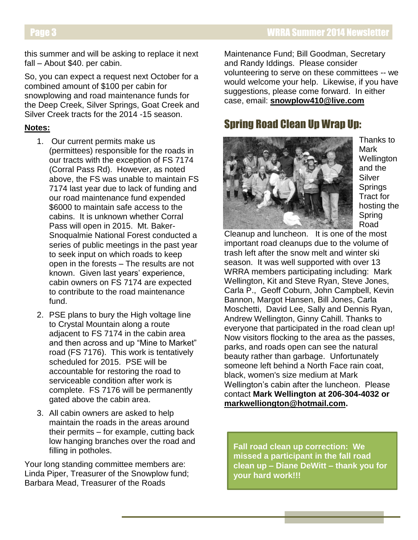this summer and will be asking to replace it next fall – About \$40. per cabin.

So, you can expect a request next October for a combined amount of \$100 per cabin for snowplowing and road maintenance funds for the Deep Creek, Silver Springs, Goat Creek and Silver Creek tracts for the 2014 -15 season.

#### **Notes:**

- 1. Our current permits make us (permittees) responsible for the roads in our tracts with the exception of FS 7174 (Corral Pass Rd). However, as noted above, the FS was unable to maintain FS 7174 last year due to lack of funding and our road maintenance fund expended \$6000 to maintain safe access to the cabins. It is unknown whether Corral Pass will open in 2015. Mt. Baker-Snoqualmie National Forest conducted a series of public meetings in the past year to seek input on which roads to keep open in the forests – The results are not known. Given last years' experience, cabin owners on FS 7174 are expected to contribute to the road maintenance fund.
- 2. PSE plans to bury the High voltage line to Crystal Mountain along a route adjacent to FS 7174 in the cabin area and then across and up "Mine to Market" road (FS 7176). This work is tentatively scheduled for 2015. PSE will be accountable for restoring the road to serviceable condition after work is complete. FS 7176 will be permanently gated above the cabin area.
- 3. All cabin owners are asked to help maintain the roads in the areas around their permits – for example, cutting back low hanging branches over the road and filling in potholes.

Your long standing committee members are: Linda Piper, Treasurer of the Snowplow fund; Barbara Mead, Treasurer of the Roads

Maintenance Fund; Bill Goodman, Secretary and Randy Iddings. Please consider volunteering to serve on these committees -- we would welcome your help. Likewise, if you have suggestions, please come forward. In either case, email: **snowplow410@live.com**

### Spring Road Clean Up Wrap Up:



Thanks to Mark **Wellington** and the Silver Springs Tract for hosting the Spring Road

Cleanup and luncheon. It is one of the most important road cleanups due to the volume of trash left after the snow melt and winter ski season. It was well supported with over 13 WRRA members participating including: Mark Wellington, Kit and Steve Ryan, Steve Jones, Carla P., Geoff Coburn, John Campbell, Kevin Bannon, Margot Hansen, Bill Jones, Carla Moschetti, David Lee, Sally and Dennis Ryan, Andrew Wellington, Ginny Cahill. Thanks to everyone that participated in the road clean up! Now visitors flocking to the area as the passes, parks, and roads open can see the natural beauty rather than garbage. Unfortunately someone left behind a North Face rain coat, black, women's size medium at Mark Wellington's cabin after the luncheon. Please contact **Mark Wellington at 206-304-4032 or [markwelliongton@hotmail.com.](mailto:markwelliongton@hotmail.com)**

**Fall road clean up correction: We missed a participant in the fall road clean up – Diane DeWitt – thank you for your hard work!!!**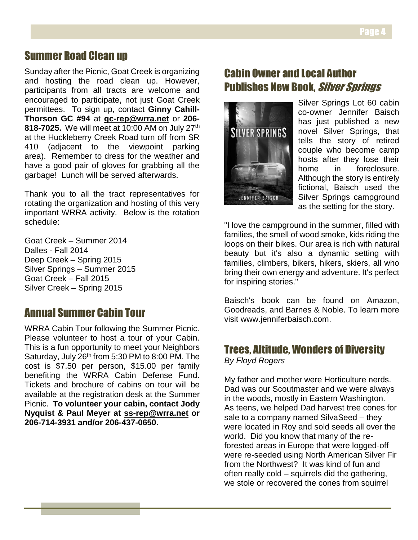#### Summer Road Clean up

Sunday after the Picnic, Goat Creek is organizing and hosting the road clean up. However, participants from all tracts are welcome and encouraged to participate, not just Goat Creek permittees. To sign up, contact **Ginny Cahill-Thorson GC #94** at **[gc-rep@wrra.net](mailto:gc-rep@wrra.net)** or **206- 818-7025.** We will meet at 10:00 AM on July 27<sup>th</sup> at the Huckleberry Creek Road turn off from SR 410 (adjacent to the viewpoint parking area). Remember to dress for the weather and have a good pair of gloves for grabbing all the garbage! Lunch will be served afterwards.

Thank you to all the tract representatives for rotating the organization and hosting of this very important WRRA activity. Below is the rotation schedule:

Goat Creek – Summer 2014 Dalles - Fall 2014 Deep Creek – Spring 2015 Silver Springs – Summer 2015 Goat Creek – Fall 2015 Silver Creek – Spring 2015

### Annual Summer Cabin Tour

WRRA Cabin Tour following the Summer Picnic. Please volunteer to host a tour of your Cabin. This is a fun opportunity to meet your Neighbors Saturday, July 26<sup>th</sup> from 5:30 PM to 8:00 PM. The cost is \$7.50 per person, \$15.00 per family benefiting the WRRA Cabin Defense Fund. Tickets and brochure of cabins on tour will be available at the registration desk at the Summer Picnic. **To volunteer your cabin, contact Jody Nyquist & Paul Meyer at [ss-rep@wrra.net](mailto:ss-rep@wrra.net) or 206-714-3931 and/or 206-437-0650.**

## Cabin Owner and Local Author Publishes New Book, Silver Springs



Silver Springs Lot 60 cabin co-owner Jennifer Baisch has just published a new novel Silver Springs, that tells the story of retired couple who become camp hosts after they lose their home in foreclosure. Although the story is entirely fictional, Baisch used the Silver Springs campground as the setting for the story.

"I love the campground in the summer, filled with families, the smell of wood smoke, kids riding the loops on their bikes. Our area is rich with natural beauty but it's also a dynamic setting with families, climbers, bikers, hikers, skiers, all who bring their own energy and adventure. It's perfect for inspiring stories."

Baisch's book can be found on Amazon, Goodreads, and Barnes & Noble. To learn more visit [www.jenniferbaisch.com.](http://www.jenniferbaisch.com/)

# Trees, Altitude, Wonders of Diversity

*By Floyd Rogers*

My father and mother were Horticulture nerds. Dad was our Scoutmaster and we were always in the woods, mostly in Eastern Washington. As teens, we helped Dad harvest tree cones for sale to a company named SilvaSeed – they were located in Roy and sold seeds all over the world. Did you know that many of the reforested areas in Europe that were logged-off were re-seeded using North American Silver Fir from the Northwest? It was kind of fun and often really cold – squirrels did the gathering, we stole or recovered the cones from squirrel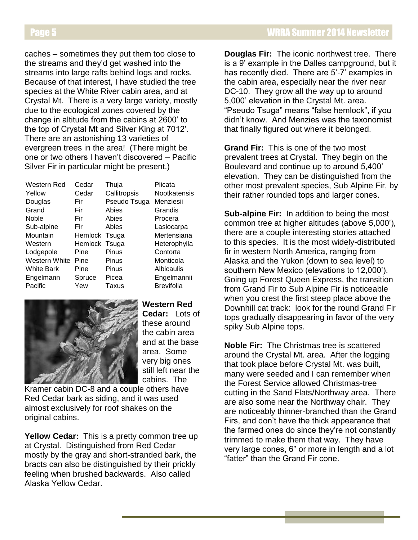caches – sometimes they put them too close to the streams and they'd get washed into the streams into large rafts behind logs and rocks. Because of that interest, I have studied the tree species at the White River cabin area, and at Crystal Mt. There is a very large variety, mostly due to the ecological zones covered by the change in altitude from the cabins at 2600' to the top of Crystal Mt and Silver King at 7012'. There are an astonishing 13 varieties of evergreen trees in the area! (There might be one or two others I haven't discovered – Pacific Silver Fir in particular might be present.)

| Western Red       | Cedar         | Thuja        | Plicata           |
|-------------------|---------------|--------------|-------------------|
| Yellow            | Cedar         | Callitropsis | Nootkatensis      |
| Douglas           | Fir           | Pseudo Tsuga | Menziesii         |
| Grand             | Fir           | Abies        | Grandis           |
| Noble             | Fir           | Abies        | Procera           |
| Sub-alpine        | Fir           | Abies        | Lasiocarpa        |
| Mountain          | Hemlock Tsuga |              | Mertensiana       |
| Western           | Hemlock Tsuga |              | Heterophylla      |
| Lodgepole         | Pine          | Pinus        | Contorta          |
| Western White     | Pine          | Pinus        | Monticola         |
| <b>White Bark</b> | Pine          | Pinus        | Albicaulis        |
| Engelmann         | Spruce        | Picea        | Engelmannii       |
| Pacific           | Yew           | Taxus        | <b>Brevifolia</b> |



**Western Red Cedar:** Lots of these around the cabin area and at the base area. Some very big ones still left near the cabins. The

Kramer cabin DC-8 and a couple others have Red Cedar bark as siding, and it was used almost exclusively for roof shakes on the original cabins.

**Yellow Cedar:** This is a pretty common tree up at Crystal. Distinguished from Red Cedar mostly by the gray and short-stranded bark, the bracts can also be distinguished by their prickly feeling when brushed backwards. Also called Alaska Yellow Cedar.

**Douglas Fir:** The iconic northwest tree. There is a 9' example in the Dalles campground, but it has recently died. There are 5'-7' examples in the cabin area, especially near the river near DC-10. They grow all the way up to around 5,000' elevation in the Crystal Mt. area. "Pseudo Tsuga" means "false hemlock", if you didn't know. And Menzies was the taxonomist that finally figured out where it belonged.

**Grand Fir:** This is one of the two most prevalent trees at Crystal. They begin on the Boulevard and continue up to around 5,400' elevation. They can be distinguished from the other most prevalent species, Sub Alpine Fir, by their rather rounded tops and larger cones.

**Sub-alpine Fir:** In addition to being the most common tree at higher altitudes (above 5,000'), there are a couple interesting stories attached to this species. It is the most widely-distributed fir in western North America, ranging from Alaska and the Yukon (down to sea level) to southern New Mexico (elevations to 12,000'). Going up Forest Queen Express, the transition from Grand Fir to Sub Alpine Fir is noticeable when you crest the first steep place above the Downhill cat track: look for the round Grand Fir tops gradually disappearing in favor of the very spiky Sub Alpine tops.

**Noble Fir:** The Christmas tree is scattered around the Crystal Mt. area. After the logging that took place before Crystal Mt. was built, many were seeded and I can remember when the Forest Service allowed Christmas-tree cutting in the Sand Flats/Northway area. There are also some near the Northway chair. They are noticeably thinner-branched than the Grand Firs, and don't have the thick appearance that the farmed ones do since they're not constantly trimmed to make them that way. They have very large cones, 6" or more in length and a lot "fatter" than the Grand Fir cone.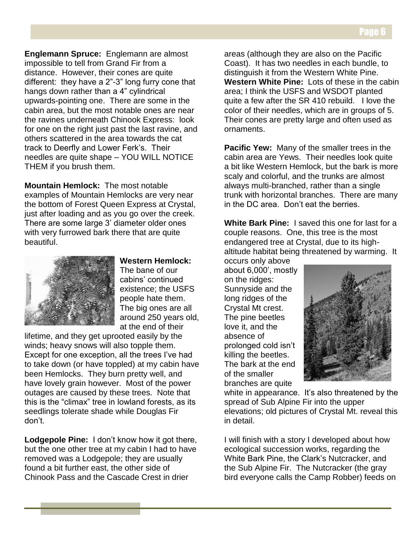**Englemann Spruce:** Englemann are almost impossible to tell from Grand Fir from a distance. However, their cones are quite different: they have a 2"-3" long furry cone that hangs down rather than a 4" cylindrical upwards-pointing one. There are some in the cabin area, but the most notable ones are near the ravines underneath Chinook Express: look for one on the right just past the last ravine, and others scattered in the area towards the cat track to Deerfly and Lower Ferk's. Their needles are quite shape – YOU WILL NOTICE THEM if you brush them.

**Mountain Hemlock:** The most notable examples of Mountain Hemlocks are very near the bottom of Forest Queen Express at Crystal, just after loading and as you go over the creek. There are some large 3' diameter older ones with very furrowed bark there that are quite beautiful.



**Western Hemlock:** The bane of our cabins' continued existence; the USFS people hate them. The big ones are all around 250 years old, at the end of their

lifetime, and they get uprooted easily by the winds; heavy snows will also topple them. Except for one exception, all the trees I've had to take down (or have toppled) at my cabin have been Hemlocks. They burn pretty well, and have lovely grain however. Most of the power outages are caused by these trees. Note that this is the "climax" tree in lowland forests, as its seedlings tolerate shade while Douglas Fir don't.

**Lodgepole Pine:** I don't know how it got there, but the one other tree at my cabin I had to have removed was a Lodgepole; they are usually found a bit further east, the other side of Chinook Pass and the Cascade Crest in drier

areas (although they are also on the Pacific Coast). It has two needles in each bundle, to distinguish it from the Western White Pine. **Western White Pine:** Lots of these in the cabin area; I think the USFS and WSDOT planted quite a few after the SR 410 rebuild. I love the color of their needles, which are in groups of 5. Their cones are pretty large and often used as ornaments.

**Pacific Yew:** Many of the smaller trees in the cabin area are Yews. Their needles look quite a bit like Western Hemlock, but the bark is more scaly and colorful, and the trunks are almost always multi-branched, rather than a single trunk with horizontal branches. There are many in the DC area. Don't eat the berries.

**White Bark Pine:** I saved this one for last for a couple reasons. One, this tree is the most endangered tree at Crystal, due to its highaltitude habitat being threatened by warming. It

occurs only above about 6,000', mostly on the ridges: Sunnyside and the long ridges of the Crystal Mt crest. The pine beetles love it, and the absence of prolonged cold isn't killing the beetles. The bark at the end of the smaller branches are quite



white in appearance. It's also threatened by the spread of Sub Alpine Fir into the upper elevations; old pictures of Crystal Mt. reveal this in detail.

I will finish with a story I developed about how ecological succession works, regarding the White Bark Pine, the Clark's Nutcracker, and the Sub Alpine Fir. The Nutcracker (the gray bird everyone calls the Camp Robber) feeds on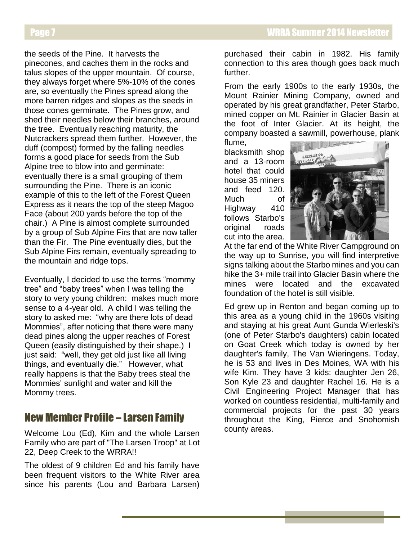the seeds of the Pine. It harvests the pinecones, and caches them in the rocks and talus slopes of the upper mountain. Of course, they always forget where 5%-10% of the cones are, so eventually the Pines spread along the more barren ridges and slopes as the seeds in those cones germinate. The Pines grow, and shed their needles below their branches, around the tree. Eventually reaching maturity, the Nutcrackers spread them further. However, the duff (compost) formed by the falling needles forms a good place for seeds from the Sub Alpine tree to blow into and germinate: eventually there is a small grouping of them surrounding the Pine. There is an iconic example of this to the left of the Forest Queen Express as it nears the top of the steep Magoo Face (about 200 yards before the top of the chair.) A Pine is almost complete surrounded by a group of Sub Alpine Firs that are now taller than the Fir. The Pine eventually dies, but the Sub Alpine Firs remain, eventually spreading to the mountain and ridge tops.

Eventually, I decided to use the terms "mommy tree" and "baby trees" when I was telling the story to very young children: makes much more sense to a 4-year old. A child I was telling the story to asked me: "why are there lots of dead Mommies", after noticing that there were many dead pines along the upper reaches of Forest Queen (easily distinguished by their shape.) I just said: "well, they get old just like all living things, and eventually die." However, what really happens is that the Baby trees steal the Mommies' sunlight and water and kill the Mommy trees.

# New Member Profile – Larsen Family

Welcome Lou (Ed), Kim and the whole Larsen Family who are part of "The Larsen Troop" at Lot 22, Deep Creek to the WRRA!!

The oldest of 9 children Ed and his family have been frequent visitors to the White River area since his parents (Lou and Barbara Larsen) purchased their cabin in 1982. His family connection to this area though goes back much further.

From the early 1900s to the early 1930s, the Mount Rainier Mining Company, owned and operated by his great grandfather, Peter Starbo, mined copper on Mt. Rainier in Glacier Basin at the foot of Inter Glacier. At its height, the company boasted a sawmill, powerhouse, plank

flume, blacksmith shop and a 13-room hotel that could house 35 miners and feed 120. Much of Highway 410 follows Starbo's original roads cut into the area.



At the far end of the White River Campground on the way up to Sunrise, you will find interpretive signs talking about the Starbo mines and you can hike the 3+ mile trail into Glacier Basin where the mines were located and the excavated foundation of the hotel is still visible.

Ed grew up in Renton and began coming up to this area as a young child in the 1960s visiting and staying at his great Aunt Gunda Wierleski's (one of Peter Starbo's daughters) cabin located on Goat Creek which today is owned by her daughter's family, The Van Wieringens. Today, he is 53 and lives in Des Moines, WA with his wife Kim. They have 3 kids: daughter Jen 26, Son Kyle 23 and daughter Rachel 16. He is a Civil Engineering Project Manager that has worked on countless residential, multi-family and commercial projects for the past 30 years throughout the King, Pierce and Snohomish county areas.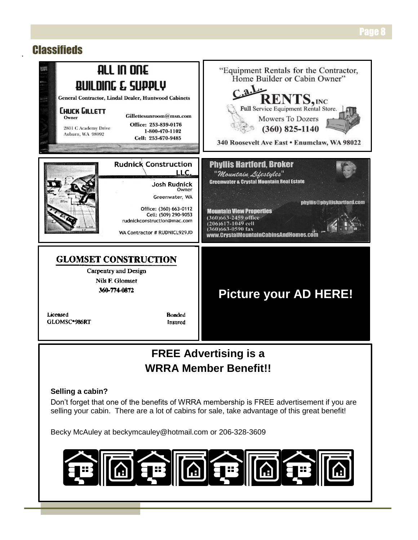# . Classifieds

| ALL IN ONE<br><b>BUILDING &amp; SUPPLY</b><br><b>General Contractor, Lindal Dealer, Huntwood Cabinets</b><br><b>CHUCK GILLETT</b><br>Gillettesunroom@msn.com<br>Owner<br>Office: 253-839-0176<br>2801 C Academy Drive<br>1-800-470-1102<br>Auburn, WA 98092<br>Cell: 253-670-9485                                 | "Equipment Rentals for the Contractor,<br>Home Builder or Cabin Owner"<br>Full Service Equipment Rental Store.<br>Mowers To Dozers<br>$(360) 825 - 1140$<br>340 Roosevelt Ave East . Enumclaw, WA 98022                                                                                                |  |  |  |
|-------------------------------------------------------------------------------------------------------------------------------------------------------------------------------------------------------------------------------------------------------------------------------------------------------------------|--------------------------------------------------------------------------------------------------------------------------------------------------------------------------------------------------------------------------------------------------------------------------------------------------------|--|--|--|
| <b>Rudnick Construction</b><br>LLC.<br>Josh Rudnick<br>Owner<br>Greenwater, WA<br>Office: (360) 663-0112<br>Cell: (509) 290-9053<br>rudnickconstruction@mac.com<br>WA Contractor # RUDNICL929JD                                                                                                                   | <b>Phyllis Hartford, Broker</b><br>"Mountain Lifestyles"<br><b>Greenwater &amp; Crystal Mountain Real Estate</b><br>phyllis@phyllishartford.com<br><b>Mountain View Properties</b><br>$(360)663 - 2459$ office<br>(206)617-1049 cell<br>$(360)663 - 0590$ fax<br>www.CrystalMountainCabinsAndHomes.con |  |  |  |
| <b>GLOMSET CONSTRUCTION</b><br>Carpentry and Design<br>Nils F. Glomset<br>360-774-0872<br>Licensed<br><b>Bonded</b><br>GLOMSC*986RT<br>Insured                                                                                                                                                                    | <b>Picture your AD HERE!</b>                                                                                                                                                                                                                                                                           |  |  |  |
| <b>FREE Advertising is a</b><br><b>WRRA Member Benefit!!</b>                                                                                                                                                                                                                                                      |                                                                                                                                                                                                                                                                                                        |  |  |  |
| Selling a cabin?<br>Don't forget that one of the benefits of WRRA membership is FREE advertisement if you are<br>selling your cabin. There are a lot of cabins for sale, take advantage of this great benefit!<br>Becky McAuley at beckymcauley@hotmail.com or 206-328-3609<br><b>b <del>t</del> lo t lo t lo</b> |                                                                                                                                                                                                                                                                                                        |  |  |  |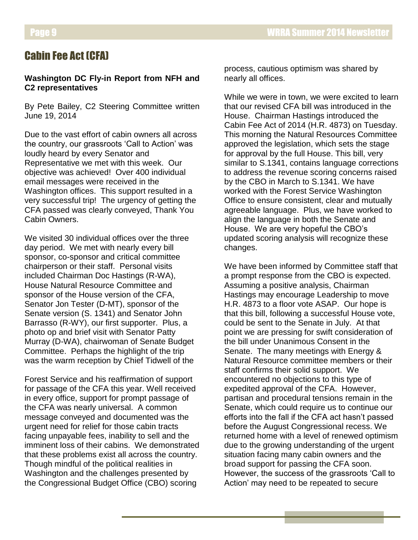#### Cabin Fee Act (CFA)

#### **Washington DC Fly-in Report from NFH and C2 representatives**

By Pete Bailey, C2 Steering Committee written June 19, 2014

Due to the vast effort of cabin owners all across the country, our grassroots 'Call to Action' was loudly heard by every Senator and Representative we met with this week. Our objective was achieved! Over 400 individual email messages were received in the Washington offices. This support resulted in a very successful trip! The urgency of getting the CFA passed was clearly conveyed, Thank You Cabin Owners.

We visited 30 individual offices over the three day period. We met with nearly every bill sponsor, co-sponsor and critical committee chairperson or their staff. Personal visits included Chairman Doc Hastings (R-WA), House Natural Resource Committee and sponsor of the House version of the CFA, Senator Jon Tester (D-MT), sponsor of the Senate version (S. 1341) and Senator John Barrasso (R-WY), our first supporter. Plus, a photo op and brief visit with Senator Patty Murray (D-WA), chairwoman of Senate Budget Committee. Perhaps the highlight of the trip was the warm reception by Chief Tidwell of the

Forest Service and his reaffirmation of support for passage of the CFA this year. Well received in every office, support for prompt passage of the CFA was nearly universal. A common message conveyed and documented was the urgent need for relief for those cabin tracts facing unpayable fees, inability to sell and the imminent loss of their cabins. We demonstrated that these problems exist all across the country. Though mindful of the political realities in Washington and the challenges presented by the Congressional Budget Office (CBO) scoring

process, cautious optimism was shared by nearly all offices.

While we were in town, we were excited to learn that our revised CFA bill was introduced in the House. Chairman Hastings introduced the Cabin Fee Act of 2014 (H.R. 4873) on Tuesday. This morning the Natural Resources Committee approved the legislation, which sets the stage for approval by the full House. This bill, very similar to S.1341, contains language corrections to address the revenue scoring concerns raised by the CBO in March to S.1341. We have worked with the Forest Service Washington Office to ensure consistent, clear and mutually agreeable language. Plus, we have worked to align the language in both the Senate and House. We are very hopeful the CBO's updated scoring analysis will recognize these changes.

We have been informed by Committee staff that a prompt response from the CBO is expected. Assuming a positive analysis, Chairman Hastings may encourage Leadership to move H.R. 4873 to a floor vote ASAP. Our hope is that this bill, following a successful House vote, could be sent to the Senate in July. At that point we are pressing for swift consideration of the bill under Unanimous Consent in the Senate. The many meetings with Energy & Natural Resource committee members or their staff confirms their solid support. We encountered no objections to this type of expedited approval of the CFA. However, partisan and procedural tensions remain in the Senate, which could require us to continue our efforts into the fall if the CFA act hasn't passed before the August Congressional recess. We returned home with a level of renewed optimism due to the growing understanding of the urgent situation facing many cabin owners and the broad support for passing the CFA soon. However, the success of the grassroots 'Call to Action' may need to be repeated to secure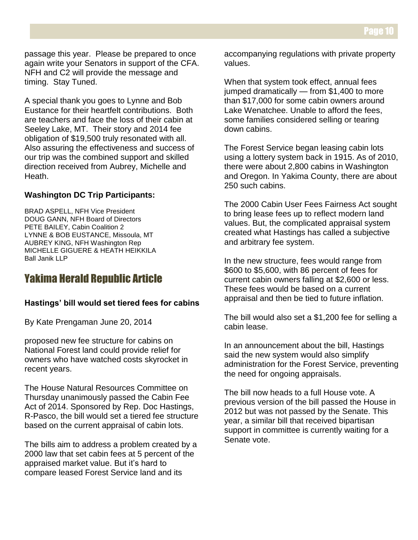passage this year. Please be prepared to once again write your Senators in support of the CFA. NFH and C2 will provide the message and timing. Stay Tuned.

A special thank you goes to Lynne and Bob Eustance for their heartfelt contributions. Both are teachers and face the loss of their cabin at Seeley Lake, MT. Their story and 2014 fee obligation of \$19,500 truly resonated with all. Also assuring the effectiveness and success of our trip was the combined support and skilled direction received from Aubrey, Michelle and Heath.

#### **Washington DC Trip Participants:**

BRAD ASPELL, NFH Vice President DOUG GANN, NFH Board of Directors PETE BAILEY, Cabin Coalition 2 LYNNE & BOB EUSTANCE, Missoula, MT AUBREY KING, NFH Washington Rep MICHELLE GIGUERE & HEATH HEIKKILA Ball Janik LLP

#### Yakima Herald Republic Article

#### **Hastings' bill would set tiered fees for cabins**

By Kate Prengaman June 20, 2014

proposed new fee structure for cabins on National Forest land could provide relief for owners who have watched costs skyrocket in recent years.

The House Natural Resources Committee on Thursday unanimously passed the Cabin Fee Act of 2014. Sponsored by Rep. Doc Hastings, R-Pasco, the bill would set a tiered fee structure based on the current appraisal of cabin lots.

The bills aim to address a problem created by a 2000 law that set cabin fees at 5 percent of the appraised market value. But it's hard to compare leased Forest Service land and its

accompanying regulations with private property values.

When that system took effect, annual fees jumped dramatically — from \$1,400 to more than \$17,000 for some cabin owners around Lake Wenatchee. Unable to afford the fees, some families considered selling or tearing down cabins.

The Forest Service began leasing cabin lots using a lottery system back in 1915. As of 2010, there were about 2,800 cabins in Washington and Oregon. In Yakima County, there are about 250 such cabins.

The 2000 Cabin User Fees Fairness Act sought to bring lease fees up to reflect modern land values. But, the complicated appraisal system created what Hastings has called a subjective and arbitrary fee system.

In the new structure, fees would range from \$600 to \$5,600, with 86 percent of fees for current cabin owners falling at \$2,600 or less. These fees would be based on a current appraisal and then be tied to future inflation.

The bill would also set a \$1,200 fee for selling a cabin lease.

In an announcement about the bill, Hastings said the new system would also simplify administration for the Forest Service, preventing the need for ongoing appraisals.

The bill now heads to a full House vote. A previous version of the bill passed the House in 2012 but was not passed by the Senate. This year, a similar bill that received bipartisan support in committee is currently waiting for a Senate vote.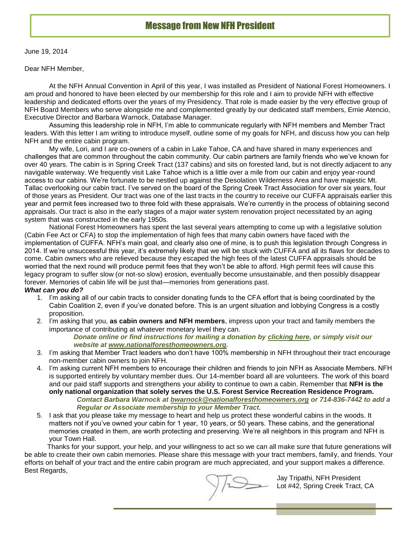#### Message from New NFH President

June 19, 2014

Dear NFH Member,

At the NFH Annual Convention in April of this year, I was installed as President of National Forest Homeowners. I am proud and honored to have been elected by our membership for this role and I aim to provide NFH with effective leadership and dedicated efforts over the years of my Presidency. That role is made easier by the very effective group of NFH Board Members who serve alongside me and complemented greatly by our dedicated staff members, Ernie Atencio, Executive Director and Barbara Warnock, Database Manager.

Assuming this leadership role in NFH, I'm able to communicate regularly with NFH members and Member Tract leaders. With this letter I am writing to introduce myself, outline some of my goals for NFH, and discuss how you can help NFH and the entire cabin program.

My wife, Lori, and I are co-owners of a cabin in Lake Tahoe, CA and have shared in many experiences and challenges that are common throughout the cabin community. Our cabin partners are family friends who we've known for over 40 years. The cabin is in Spring Creek Tract (137 cabins) and sits on forested land, but is not directly adjacent to any navigable waterway. We frequently visit Lake Tahoe which is a little over a mile from our cabin and enjoy year-round access to our cabins. We're fortunate to be nestled up against the Desolation Wilderness Area and have majestic Mt. Tallac overlooking our cabin tract. I've served on the board of the Spring Creek Tract Association for over six years, four of those years as President. Our tract was one of the last tracts in the country to receive our CUFFA appraisals earlier this year and permit fees increased two to three fold with these appraisals. We're currently in the process of obtaining second appraisals. Our tract is also in the early stages of a major water system renovation project necessitated by an aging system that was constructed in the early 1950s.

National Forest Homeowners has spent the last several years attempting to come up with a legislative solution (Cabin Fee Act or CFA) to stop the implementation of high fees that many cabin owners have faced with the implementation of CUFFA. NFH's main goal, and clearly also one of mine, is to push this legislation through Congress in 2014. If we're unsuccessful this year, it's extremely likely that we will be stuck with CUFFA and all its flaws for decades to come. Cabin owners who are relieved because they escaped the high fees of the latest CUFFA appraisals should be worried that the next round will produce permit fees that they won't be able to afford. High permit fees will cause this legacy program to suffer slow (or not-so slow) erosion, eventually become unsustainable, and then possibly disappear forever. Memories of cabin life will be just that—memories from generations past.

#### *What can you do?*

- 1. I'm asking all of our cabin tracts to consider donating funds to the CFA effort that is being coordinated by the Cabin Coalition 2, even if you've donated before. This is an urgent situation and lobbying Congress is a costly proposition.
- 2. I'm asking that you, **as cabin owners and NFH members**, impress upon your tract and family members the importance of contributing at whatever monetary level they can.

*Donate online or find instructions for mailing a donation by [clicking here,](http://www.nationalforesthomeowners.org/donations/) or simply visit our website at [www.nationalforesthomeowners.org.](http://www.nationalforesthomeowners.org/)*

- 3. I'm asking that Member Tract leaders who don't have 100% membership in NFH throughout their tract encourage non-member cabin owners to join NFH.
- 4. I'm asking current NFH members to encourage their children and friends to join NFH as Associate Members. NFH is supported entirely by voluntary member dues. Our 14-member board all are volunteers. The work of this board and our paid staff supports and strengthens your ability to continue to own a cabin. Remember that **NFH is the only national organization that solely serves the U.S. Forest Service Recreation Residence Program.** *Contact Barbara Warnock at [bwarnock@nationalforesthomeowners.org](mailto:bwarnock@nationalforesthomeowners.org) or 714-836-7442 to add a Regular or Associate membership to your Member Tract.*
- 5. I ask that you please take my message to heart and help us protect these wonderful cabins in the woods. It matters not if you've owned your cabin for 1 year, 10 years, or 50 years. These cabins, and the generational memories created in them, are worth protecting and preserving. We're all neighbors in this program and NFH is your Town Hall.

 Thanks for your support, your help, and your willingness to act so we can all make sure that future generations will be able to create their own cabin memories. Please share this message with your tract members, family, and friends. Your efforts on behalf of your tract and the entire cabin program are much appreciated, and your support makes a difference. Best Regards,

Jay Tripathi, NFH President Lot #42, Spring Creek Tract, CA